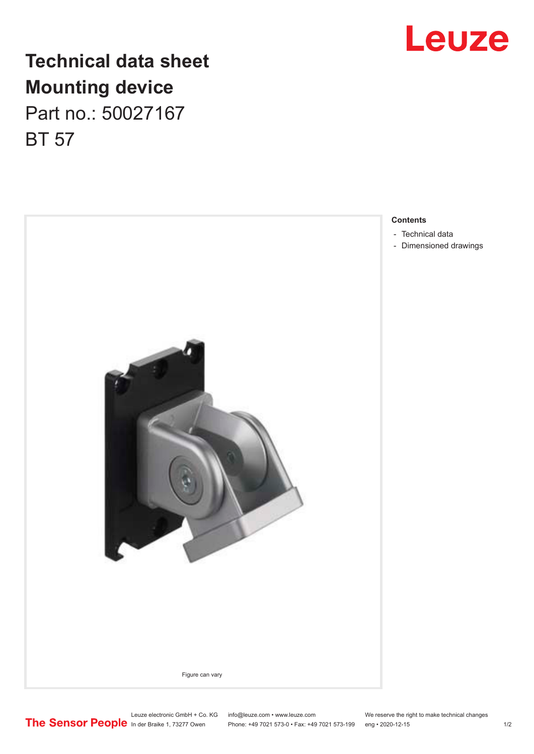

## **Technical data sheet Mounting device** Part no.: 50027167 BT 57



### **Contents**

- [Technical data](#page-1-0)
- [Dimensioned drawings](#page-1-0)